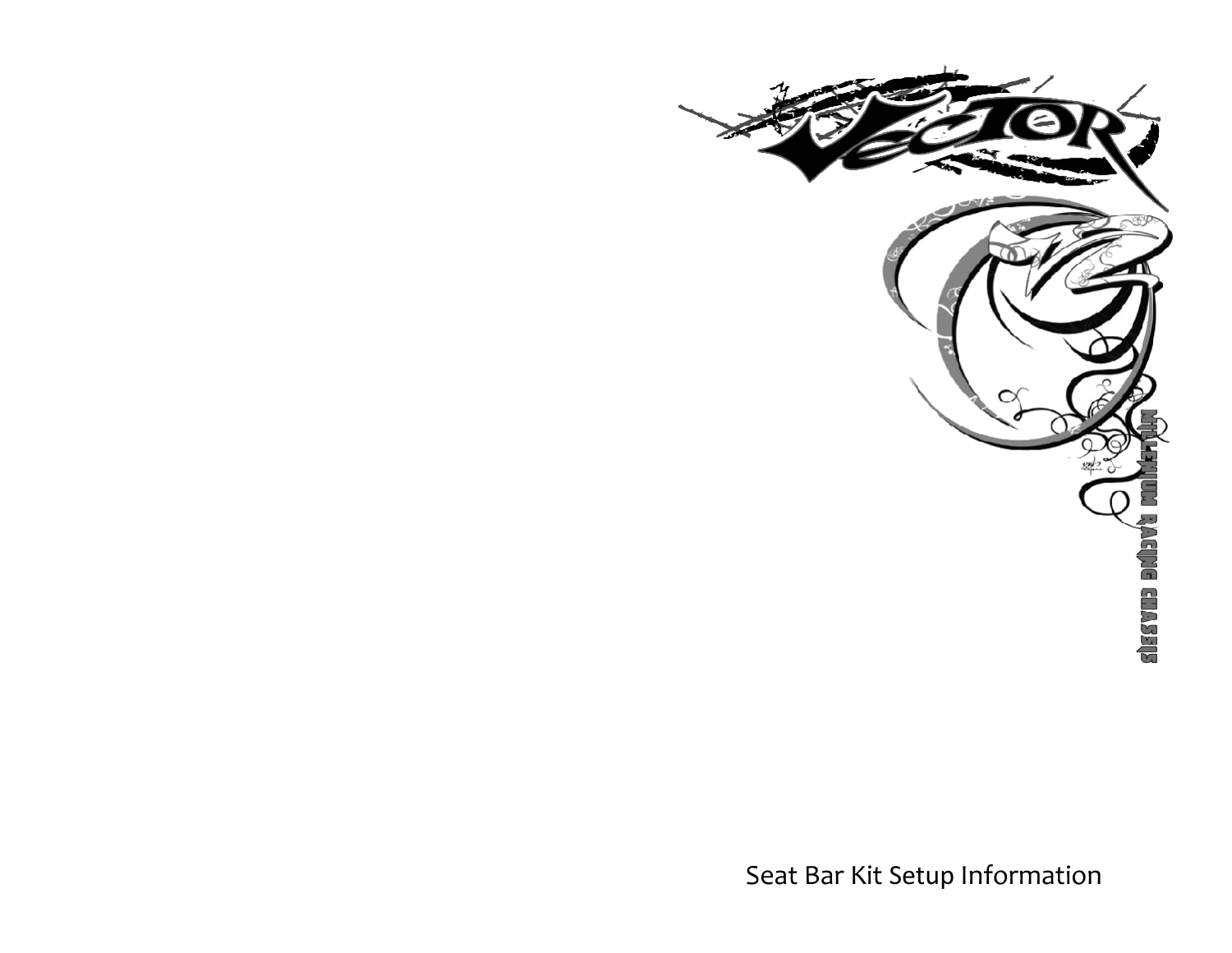

Seat Bar Kit Setup Information